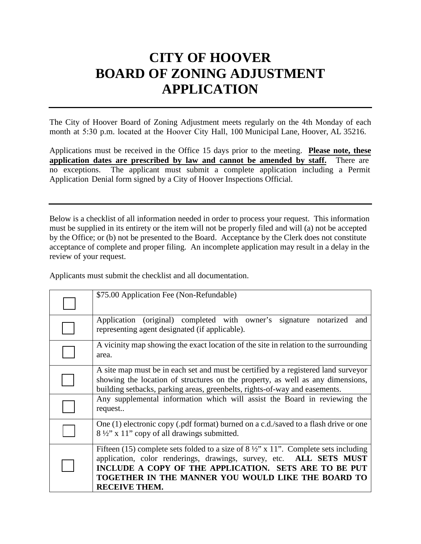# **CITY OF HOOVER BOARD OF ZONING ADJUSTMENT APPLICATION**

The City of Hoover Board of Zoning Adjustment meets regularly on the 4th Monday of each month at 5:30 p.m. located at the Hoover City Hall, 100 Municipal Lane, Hoover, AL 35216.

Applications must be received in the Office 15 days prior to the meeting. **Please note, these application dates are prescribed by law and cannot be amended by staff.** There are no exceptions. The applicant must submit a complete application including a Permit Application Denial form signed by a City of Hoover Inspections Official.

Below is a checklist of all information needed in order to process your request. This information must be supplied in its entirety or the item will not be properly filed and will (a) not be accepted by the Office; or (b) not be presented to the Board. Acceptance by the Clerk does not constitute acceptance of complete and proper filing. An incomplete application may result in a delay in the review of your request.

Applicants must submit the checklist and all documentation.

| \$75.00 Application Fee (Non-Refundable)                                                                                                                                                                                                                                                                     |  |
|--------------------------------------------------------------------------------------------------------------------------------------------------------------------------------------------------------------------------------------------------------------------------------------------------------------|--|
| Application (original) completed with owner's signature notarized<br>and<br>representing agent designated (if applicable).                                                                                                                                                                                   |  |
| A vicinity map showing the exact location of the site in relation to the surrounding<br>area.                                                                                                                                                                                                                |  |
| A site map must be in each set and must be certified by a registered land surveyor<br>showing the location of structures on the property, as well as any dimensions,<br>building setbacks, parking areas, greenbelts, rights-of-way and easements.                                                           |  |
| Any supplemental information which will assist the Board in reviewing the<br>request                                                                                                                                                                                                                         |  |
| One (1) electronic copy (.pdf format) burned on a c.d./saved to a flash drive or one<br>8 1/2" x 11" copy of all drawings submitted.                                                                                                                                                                         |  |
| Fifteen (15) complete sets folded to a size of $8\frac{1}{2}$ " x 11". Complete sets including<br>application, color renderings, drawings, survey, etc. ALL SETS MUST<br>INCLUDE A COPY OF THE APPLICATION. SETS ARE TO BE PUT<br>TOGETHER IN THE MANNER YOU WOULD LIKE THE BOARD TO<br><b>RECEIVE THEM.</b> |  |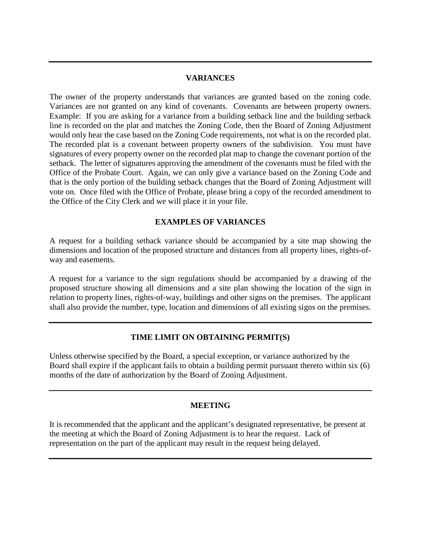### **VARIANCES**

The owner of the property understands that variances are granted based on the zoning code. Variances are not granted on any kind of covenants. Covenants are between property owners. Example: If you are asking for a variance from a building setback line and the building setback line is recorded on the plat and matches the Zoning Code, then the Board of Zoning Adjustment would only hear the case based on the Zoning Code requirements, not what is on the recorded plat. The recorded plat is a covenant between property owners of the subdivision. You must have signatures of every property owner on the recorded plat map to change the covenant portion of the setback. The letter of signatures approving the amendment of the covenants must be filed with the Office of the Probate Court. Again, we can only give a variance based on the Zoning Code and that is the only portion of the building setback changes that the Board of Zoning Adjustment will vote on. Once filed with the Office of Probate, please bring a copy of the recorded amendment to the Office of the City Clerk and we will place it in your file.

# **EXAMPLES OF VARIANCES**

A request for a building setback variance should be accompanied by a site map showing the dimensions and location of the proposed structure and distances from all property lines, rights-ofway and easements.

A request for a variance to the sign regulations should be accompanied by a drawing of the proposed structure showing all dimensions and a site plan showing the location of the sign in relation to property lines, rights-of-way, buildings and other signs on the premises. The applicant shall also provide the number, type, location and dimensions of all existing signs on the premises.

# **TIME LIMIT ON OBTAINING PERMIT(S)**

Unless otherwise specified by the Board, a special exception, or variance authorized by the Board shall expire if the applicant fails to obtain a building permit pursuant thereto within six (6) months of the date of authorization by the Board of Zoning Adjustment.

### **MEETING**

It is recommended that the applicant and the applicant's designated representative, be present at the meeting at which the Board of Zoning Adjustment is to hear the request. Lack of representation on the part of the applicant may result in the request being delayed.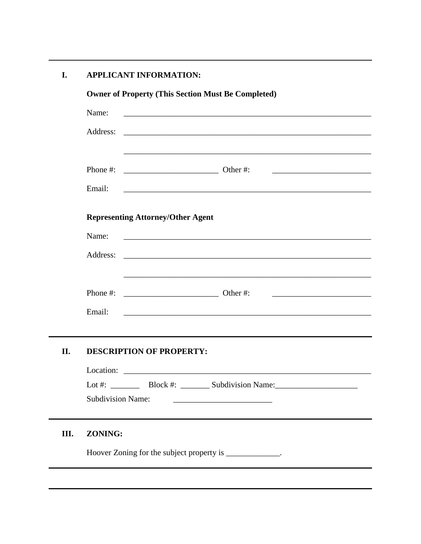#### **APPLICANT INFORMATION:** I.

|      |          | <b>Owner of Property (This Section Must Be Completed)</b>                                                                                                    |
|------|----------|--------------------------------------------------------------------------------------------------------------------------------------------------------------|
|      | Name:    |                                                                                                                                                              |
|      | Address: |                                                                                                                                                              |
|      |          |                                                                                                                                                              |
|      | Phone #: | $\frac{1}{2}$ Other #:                                                                                                                                       |
|      | Email:   |                                                                                                                                                              |
|      |          | <b>Representing Attorney/Other Agent</b>                                                                                                                     |
|      | Name:    |                                                                                                                                                              |
|      | Address: |                                                                                                                                                              |
|      |          |                                                                                                                                                              |
|      | Phone #: | $\underline{\hspace{1cm}}$ Other #:<br><u> 1999 - Johann Harry Harry Harry Harry Harry Harry Harry Harry Harry Harry Harry Harry Harry Harry Harry Harry</u> |
|      | Email:   |                                                                                                                                                              |
|      |          |                                                                                                                                                              |
| II.  |          | <b>DESCRIPTION OF PROPERTY:</b>                                                                                                                              |
|      |          |                                                                                                                                                              |
|      |          | Lot #: $\_\_\_\_\_\_\_\_\_\_\_\_\_\_\_\_\_\_\_\_\_\_\_\_\_\_\_\_\_\_$                                                                                        |
|      |          | <b>Subdivision Name:</b>                                                                                                                                     |
| III. | ZONING:  |                                                                                                                                                              |
|      |          | Hoover Zoning for the subject property is ____________.                                                                                                      |
|      |          |                                                                                                                                                              |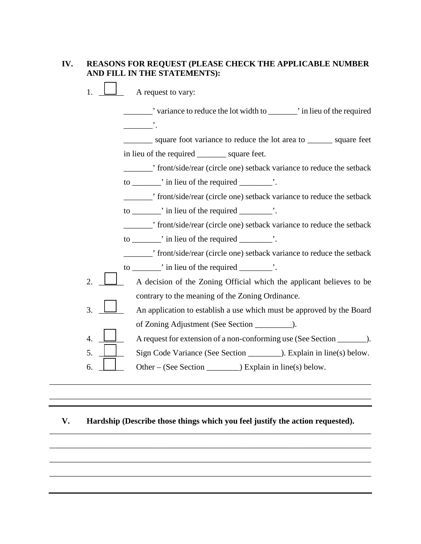# **IV. REASONS FOR REQUEST (PLEASE CHECK THE APPLICABLE NUMBER AND FILL IN THE STATEMENTS):**

1.  $\Box$  A request to vary:

\_\_\_\_\_\_\_' variance to reduce the lot width to \_\_\_\_\_\_\_' in lieu of the required  $\qquad \qquad$ \_\_\_\_\_\_\_ square foot variance to reduce the lot area to \_\_\_\_\_\_ square feet in lieu of the required \_\_\_\_\_\_\_ square feet. \_\_\_\_\_\_\_' front/side/rear (circle one) setback variance to reduce the setback to  $\frac{1}{\sqrt{2}}$  in lieu of the required  $\frac{1}{\sqrt{2}}$ . \_\_\_\_\_\_\_' front/side/rear (circle one) setback variance to reduce the setback to \_\_\_\_\_\_\_' in lieu of the required \_\_\_\_\_\_\_\_'. \_\_\_\_\_\_\_' front/side/rear (circle one) setback variance to reduce the setback to \_\_\_\_\_\_\_\_\_, in lieu of the required  $\cdot$ . \_\_\_\_\_\_\_' front/side/rear (circle one) setback variance to reduce the setback to \_\_\_\_\_\_\_' in lieu of the required \_\_\_\_\_\_\_\_'. 2.  $\Box$  A decision of the Zoning Official which the applicant believes to be contrary to the meaning of the Zoning Ordinance. 3.  $\Box$  An application to establish a use which must be approved by the Board of Zoning Adjustment (See Section \_\_\_\_\_\_\_\_\_). 4.  $\Box$  A request for extension of a non-conforming use (See Section  $\Box$ ). 5. Sign Code Variance (See Section ). Explain in line(s) below. 6.  $\Box$  Other – (See Section ) Explain in line(s) below. \_\_\_\_\_\_\_\_\_\_\_\_\_\_\_\_\_\_\_\_\_\_\_\_\_\_\_\_\_\_\_\_\_\_\_\_\_\_\_\_\_\_\_\_\_\_\_\_\_\_\_\_\_\_\_\_\_\_\_\_\_\_\_\_\_\_\_\_\_\_\_\_\_\_\_\_\_\_

# **V. Hardship (Describe those things which you feel justify the action requested).** \_\_\_\_\_\_\_\_\_\_\_\_\_\_\_\_\_\_\_\_\_\_\_\_\_\_\_\_\_\_\_\_\_\_\_\_\_\_\_\_\_\_\_\_\_\_\_\_\_\_\_\_\_\_\_\_\_\_\_\_\_\_\_\_\_\_\_\_\_\_\_\_\_\_\_\_\_\_

\_\_\_\_\_\_\_\_\_\_\_\_\_\_\_\_\_\_\_\_\_\_\_\_\_\_\_\_\_\_\_\_\_\_\_\_\_\_\_\_\_\_\_\_\_\_\_\_\_\_\_\_\_\_\_\_\_\_\_\_\_\_\_\_\_\_\_\_\_\_\_\_\_\_\_\_\_\_

\_\_\_\_\_\_\_\_\_\_\_\_\_\_\_\_\_\_\_\_\_\_\_\_\_\_\_\_\_\_\_\_\_\_\_\_\_\_\_\_\_\_\_\_\_\_\_\_\_\_\_\_\_\_\_\_\_\_\_\_\_\_\_\_\_\_\_\_\_\_\_\_\_\_\_\_\_\_

\_\_\_\_\_\_\_\_\_\_\_\_\_\_\_\_\_\_\_\_\_\_\_\_\_\_\_\_\_\_\_\_\_\_\_\_\_\_\_\_\_\_\_\_\_\_\_\_\_\_\_\_\_\_\_\_\_\_\_\_\_\_\_\_\_\_\_\_\_\_\_\_\_\_\_\_\_\_

\_\_\_\_\_\_\_\_\_\_\_\_\_\_\_\_\_\_\_\_\_\_\_\_\_\_\_\_\_\_\_\_\_\_\_\_\_\_\_\_\_\_\_\_\_\_\_\_\_\_\_\_\_\_\_\_\_\_\_\_\_\_\_\_\_\_\_\_\_\_\_\_\_\_\_\_\_\_